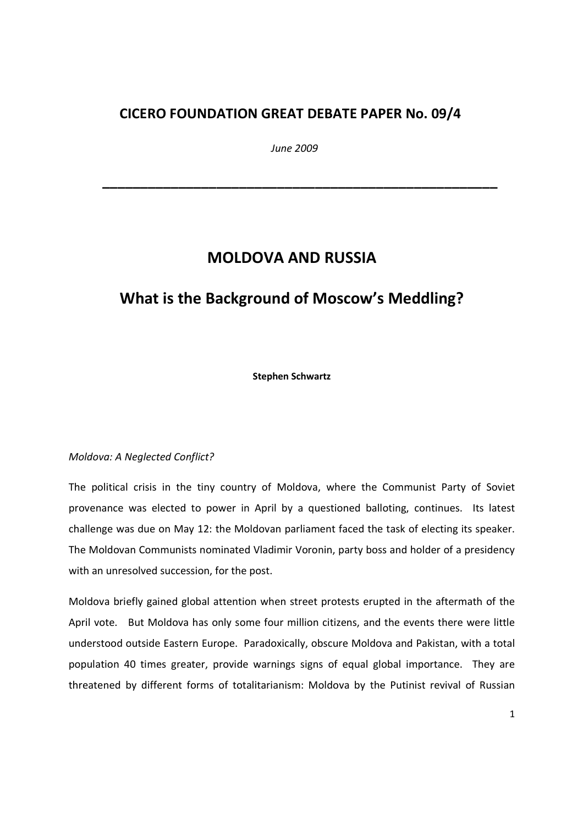### CICERO FOUNDATION GREAT DEBATE PAPER No. 09/4

June 2009

\_\_\_\_\_\_\_\_\_\_\_\_\_\_\_\_\_\_\_\_\_\_\_\_\_\_\_\_\_\_\_\_\_\_\_\_\_\_\_\_\_\_\_\_\_\_\_\_\_\_\_\_

# MOLDOVA AND RUSSIA

# What is the Background of Moscow's Meddling?

Stephen Schwartz

### Moldova: A Neglected Conflict?

The political crisis in the tiny country of Moldova, where the Communist Party of Soviet provenance was elected to power in April by a questioned balloting, continues. Its latest challenge was due on May 12: the Moldovan parliament faced the task of electing its speaker. The Moldovan Communists nominated Vladimir Voronin, party boss and holder of a presidency with an unresolved succession, for the post.

Moldova briefly gained global attention when street protests erupted in the aftermath of the April vote. But Moldova has only some four million citizens, and the events there were little understood outside Eastern Europe. Paradoxically, obscure Moldova and Pakistan, with a total population 40 times greater, provide warnings signs of equal global importance. They are threatened by different forms of totalitarianism: Moldova by the Putinist revival of Russian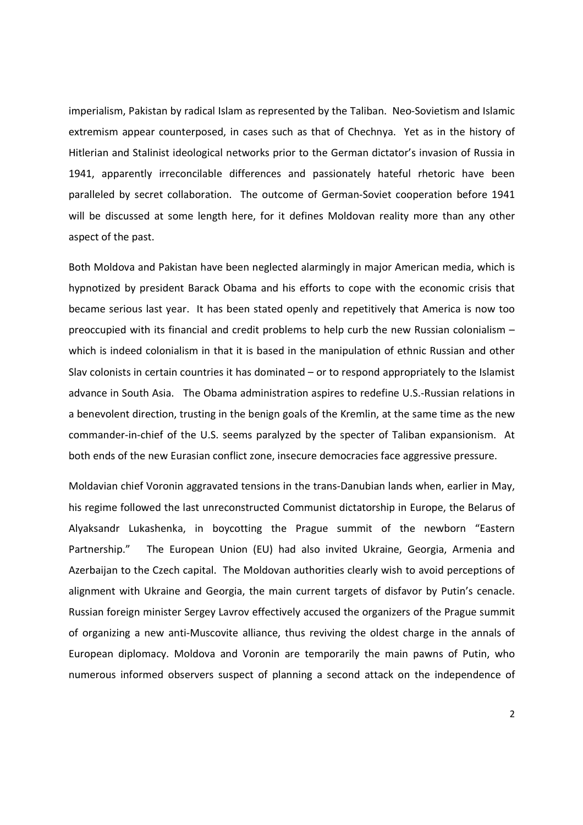imperialism, Pakistan by radical Islam as represented by the Taliban. Neo-Sovietism and Islamic extremism appear counterposed, in cases such as that of Chechnya. Yet as in the history of Hitlerian and Stalinist ideological networks prior to the German dictator's invasion of Russia in 1941, apparently irreconcilable differences and passionately hateful rhetoric have been paralleled by secret collaboration. The outcome of German-Soviet cooperation before 1941 will be discussed at some length here, for it defines Moldovan reality more than any other aspect of the past.

Both Moldova and Pakistan have been neglected alarmingly in major American media, which is hypnotized by president Barack Obama and his efforts to cope with the economic crisis that became serious last year. It has been stated openly and repetitively that America is now too preoccupied with its financial and credit problems to help curb the new Russian colonialism – which is indeed colonialism in that it is based in the manipulation of ethnic Russian and other Slav colonists in certain countries it has dominated – or to respond appropriately to the Islamist advance in South Asia. The Obama administration aspires to redefine U.S.-Russian relations in a benevolent direction, trusting in the benign goals of the Kremlin, at the same time as the new commander-in-chief of the U.S. seems paralyzed by the specter of Taliban expansionism. At both ends of the new Eurasian conflict zone, insecure democracies face aggressive pressure.

Moldavian chief Voronin aggravated tensions in the trans-Danubian lands when, earlier in May, his regime followed the last unreconstructed Communist dictatorship in Europe, the Belarus of Alyaksandr Lukashenka, in boycotting the Prague summit of the newborn "Eastern Partnership." The European Union (EU) had also invited Ukraine, Georgia, Armenia and Azerbaijan to the Czech capital. The Moldovan authorities clearly wish to avoid perceptions of alignment with Ukraine and Georgia, the main current targets of disfavor by Putin's cenacle. Russian foreign minister Sergey Lavrov effectively accused the organizers of the Prague summit of organizing a new anti-Muscovite alliance, thus reviving the oldest charge in the annals of European diplomacy. Moldova and Voronin are temporarily the main pawns of Putin, who numerous informed observers suspect of planning a second attack on the independence of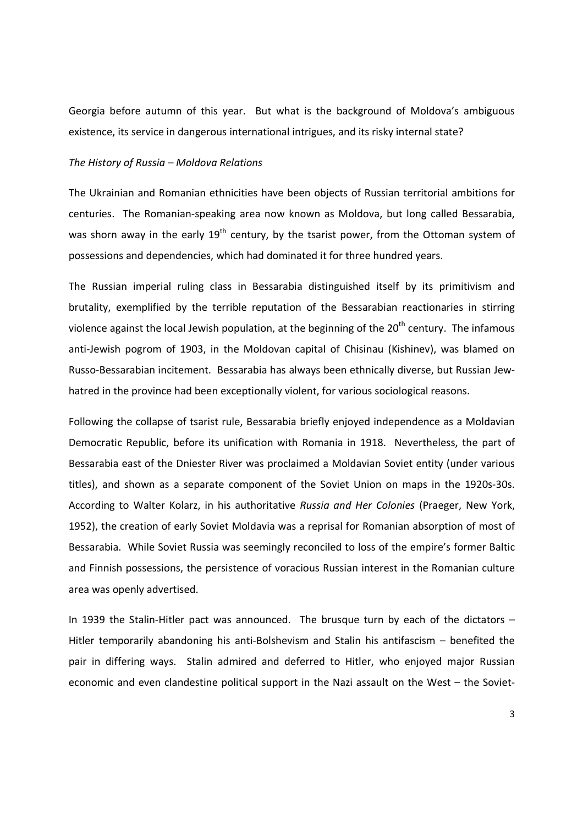Georgia before autumn of this year. But what is the background of Moldova's ambiguous existence, its service in dangerous international intrigues, and its risky internal state?

#### The History of Russia – Moldova Relations

The Ukrainian and Romanian ethnicities have been objects of Russian territorial ambitions for centuries. The Romanian-speaking area now known as Moldova, but long called Bessarabia, was shorn away in the early 19<sup>th</sup> century, by the tsarist power, from the Ottoman system of possessions and dependencies, which had dominated it for three hundred years.

The Russian imperial ruling class in Bessarabia distinguished itself by its primitivism and brutality, exemplified by the terrible reputation of the Bessarabian reactionaries in stirring violence against the local Jewish population, at the beginning of the  $20<sup>th</sup>$  century. The infamous anti-Jewish pogrom of 1903, in the Moldovan capital of Chisinau (Kishinev), was blamed on Russo-Bessarabian incitement. Bessarabia has always been ethnically diverse, but Russian Jewhatred in the province had been exceptionally violent, for various sociological reasons.

Following the collapse of tsarist rule, Bessarabia briefly enjoyed independence as a Moldavian Democratic Republic, before its unification with Romania in 1918. Nevertheless, the part of Bessarabia east of the Dniester River was proclaimed a Moldavian Soviet entity (under various titles), and shown as a separate component of the Soviet Union on maps in the 1920s-30s. According to Walter Kolarz, in his authoritative Russia and Her Colonies (Praeger, New York, 1952), the creation of early Soviet Moldavia was a reprisal for Romanian absorption of most of Bessarabia. While Soviet Russia was seemingly reconciled to loss of the empire's former Baltic and Finnish possessions, the persistence of voracious Russian interest in the Romanian culture area was openly advertised.

In 1939 the Stalin-Hitler pact was announced. The brusque turn by each of the dictators – Hitler temporarily abandoning his anti-Bolshevism and Stalin his antifascism – benefited the pair in differing ways. Stalin admired and deferred to Hitler, who enjoyed major Russian economic and even clandestine political support in the Nazi assault on the West – the Soviet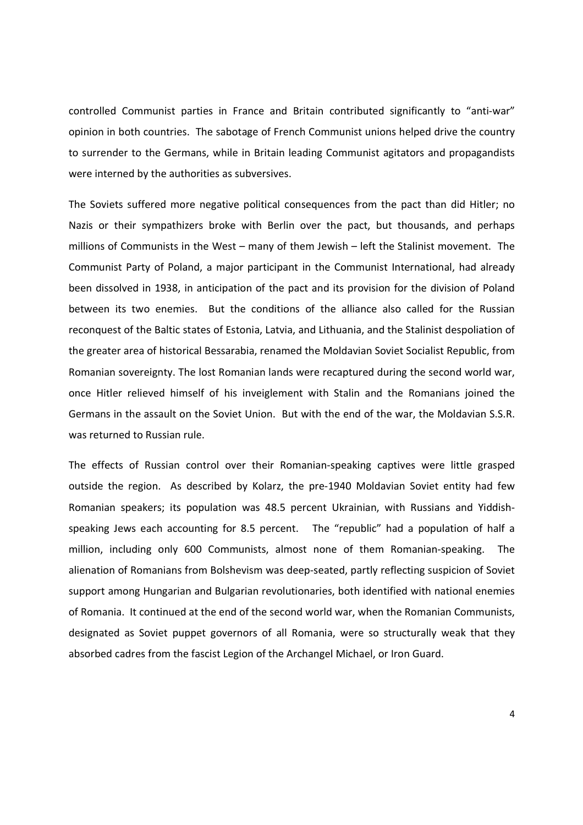controlled Communist parties in France and Britain contributed significantly to "anti-war" opinion in both countries. The sabotage of French Communist unions helped drive the country to surrender to the Germans, while in Britain leading Communist agitators and propagandists were interned by the authorities as subversives.

The Soviets suffered more negative political consequences from the pact than did Hitler; no Nazis or their sympathizers broke with Berlin over the pact, but thousands, and perhaps millions of Communists in the West – many of them Jewish – left the Stalinist movement. The Communist Party of Poland, a major participant in the Communist International, had already been dissolved in 1938, in anticipation of the pact and its provision for the division of Poland between its two enemies. But the conditions of the alliance also called for the Russian reconquest of the Baltic states of Estonia, Latvia, and Lithuania, and the Stalinist despoliation of the greater area of historical Bessarabia, renamed the Moldavian Soviet Socialist Republic, from Romanian sovereignty. The lost Romanian lands were recaptured during the second world war, once Hitler relieved himself of his inveiglement with Stalin and the Romanians joined the Germans in the assault on the Soviet Union. But with the end of the war, the Moldavian S.S.R. was returned to Russian rule.

The effects of Russian control over their Romanian-speaking captives were little grasped outside the region. As described by Kolarz, the pre-1940 Moldavian Soviet entity had few Romanian speakers; its population was 48.5 percent Ukrainian, with Russians and Yiddishspeaking Jews each accounting for 8.5 percent. The "republic" had a population of half a million, including only 600 Communists, almost none of them Romanian-speaking. The alienation of Romanians from Bolshevism was deep-seated, partly reflecting suspicion of Soviet support among Hungarian and Bulgarian revolutionaries, both identified with national enemies of Romania. It continued at the end of the second world war, when the Romanian Communists, designated as Soviet puppet governors of all Romania, were so structurally weak that they absorbed cadres from the fascist Legion of the Archangel Michael, or Iron Guard.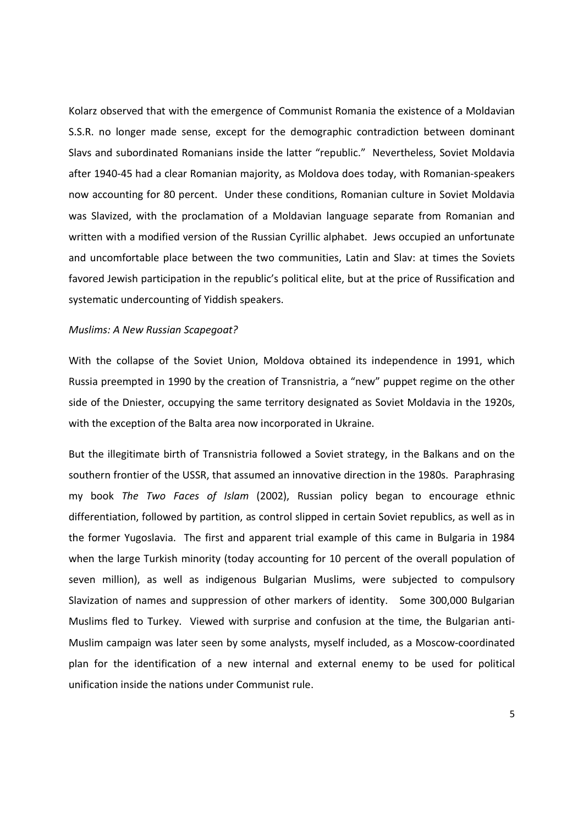Kolarz observed that with the emergence of Communist Romania the existence of a Moldavian S.S.R. no longer made sense, except for the demographic contradiction between dominant Slavs and subordinated Romanians inside the latter "republic." Nevertheless, Soviet Moldavia after 1940-45 had a clear Romanian majority, as Moldova does today, with Romanian-speakers now accounting for 80 percent. Under these conditions, Romanian culture in Soviet Moldavia was Slavized, with the proclamation of a Moldavian language separate from Romanian and written with a modified version of the Russian Cyrillic alphabet. Jews occupied an unfortunate and uncomfortable place between the two communities, Latin and Slav: at times the Soviets favored Jewish participation in the republic's political elite, but at the price of Russification and systematic undercounting of Yiddish speakers.

#### Muslims: A New Russian Scapegoat?

With the collapse of the Soviet Union, Moldova obtained its independence in 1991, which Russia preempted in 1990 by the creation of Transnistria, a "new" puppet regime on the other side of the Dniester, occupying the same territory designated as Soviet Moldavia in the 1920s, with the exception of the Balta area now incorporated in Ukraine.

But the illegitimate birth of Transnistria followed a Soviet strategy, in the Balkans and on the southern frontier of the USSR, that assumed an innovative direction in the 1980s. Paraphrasing my book The Two Faces of Islam (2002), Russian policy began to encourage ethnic differentiation, followed by partition, as control slipped in certain Soviet republics, as well as in the former Yugoslavia. The first and apparent trial example of this came in Bulgaria in 1984 when the large Turkish minority (today accounting for 10 percent of the overall population of seven million), as well as indigenous Bulgarian Muslims, were subjected to compulsory Slavization of names and suppression of other markers of identity. Some 300,000 Bulgarian Muslims fled to Turkey. Viewed with surprise and confusion at the time, the Bulgarian anti-Muslim campaign was later seen by some analysts, myself included, as a Moscow-coordinated plan for the identification of a new internal and external enemy to be used for political unification inside the nations under Communist rule.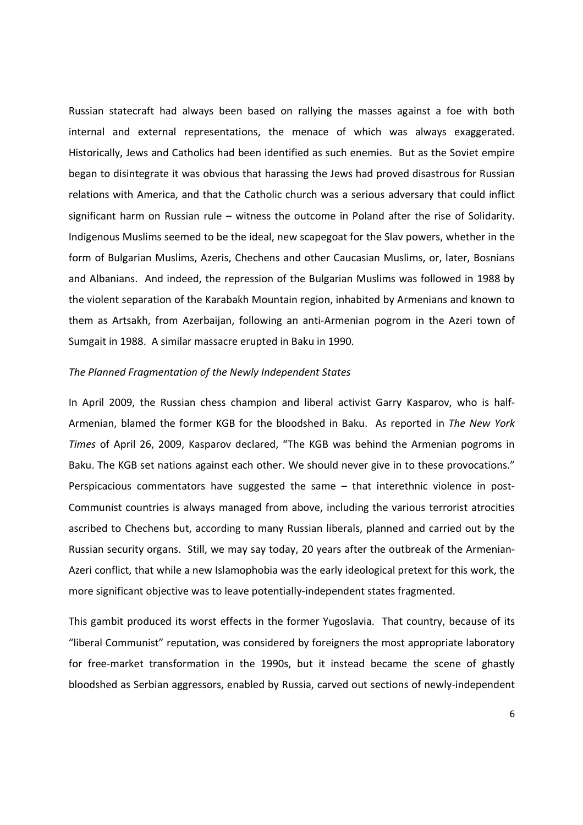Russian statecraft had always been based on rallying the masses against a foe with both internal and external representations, the menace of which was always exaggerated. Historically, Jews and Catholics had been identified as such enemies. But as the Soviet empire began to disintegrate it was obvious that harassing the Jews had proved disastrous for Russian relations with America, and that the Catholic church was a serious adversary that could inflict significant harm on Russian rule – witness the outcome in Poland after the rise of Solidarity. Indigenous Muslims seemed to be the ideal, new scapegoat for the Slav powers, whether in the form of Bulgarian Muslims, Azeris, Chechens and other Caucasian Muslims, or, later, Bosnians and Albanians. And indeed, the repression of the Bulgarian Muslims was followed in 1988 by the violent separation of the Karabakh Mountain region, inhabited by Armenians and known to them as Artsakh, from Azerbaijan, following an anti-Armenian pogrom in the Azeri town of Sumgait in 1988. A similar massacre erupted in Baku in 1990.

#### The Planned Fragmentation of the Newly Independent States

In April 2009, the Russian chess champion and liberal activist Garry Kasparov, who is half-Armenian, blamed the former KGB for the bloodshed in Baku. As reported in The New York Times of April 26, 2009, Kasparov declared, "The KGB was behind the Armenian pogroms in Baku. The KGB set nations against each other. We should never give in to these provocations." Perspicacious commentators have suggested the same – that interethnic violence in post-Communist countries is always managed from above, including the various terrorist atrocities ascribed to Chechens but, according to many Russian liberals, planned and carried out by the Russian security organs. Still, we may say today, 20 years after the outbreak of the Armenian-Azeri conflict, that while a new Islamophobia was the early ideological pretext for this work, the more significant objective was to leave potentially-independent states fragmented.

This gambit produced its worst effects in the former Yugoslavia. That country, because of its "liberal Communist" reputation, was considered by foreigners the most appropriate laboratory for free-market transformation in the 1990s, but it instead became the scene of ghastly bloodshed as Serbian aggressors, enabled by Russia, carved out sections of newly-independent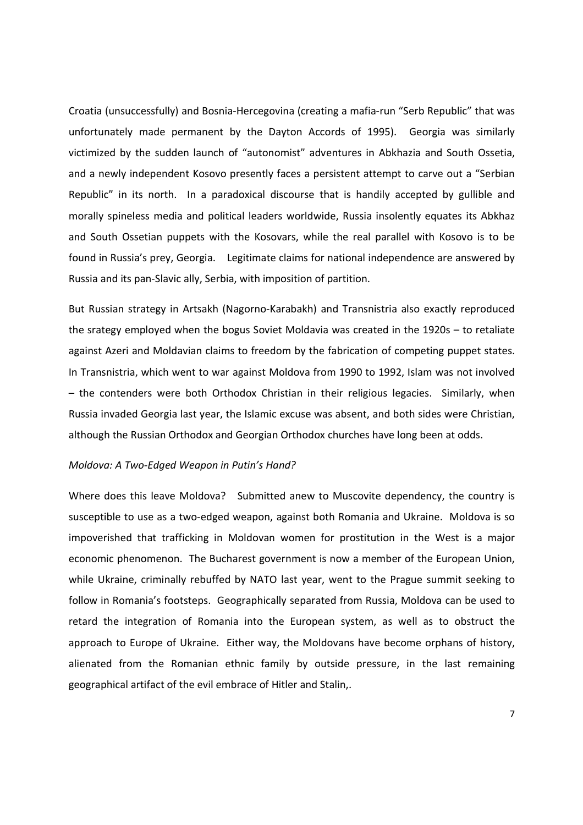Croatia (unsuccessfully) and Bosnia-Hercegovina (creating a mafia-run "Serb Republic" that was unfortunately made permanent by the Dayton Accords of 1995). Georgia was similarly victimized by the sudden launch of "autonomist" adventures in Abkhazia and South Ossetia, and a newly independent Kosovo presently faces a persistent attempt to carve out a "Serbian Republic" in its north. In a paradoxical discourse that is handily accepted by gullible and morally spineless media and political leaders worldwide, Russia insolently equates its Abkhaz and South Ossetian puppets with the Kosovars, while the real parallel with Kosovo is to be found in Russia's prey, Georgia. Legitimate claims for national independence are answered by Russia and its pan-Slavic ally, Serbia, with imposition of partition.

But Russian strategy in Artsakh (Nagorno-Karabakh) and Transnistria also exactly reproduced the srategy employed when the bogus Soviet Moldavia was created in the 1920s – to retaliate against Azeri and Moldavian claims to freedom by the fabrication of competing puppet states. In Transnistria, which went to war against Moldova from 1990 to 1992, Islam was not involved – the contenders were both Orthodox Christian in their religious legacies. Similarly, when Russia invaded Georgia last year, the Islamic excuse was absent, and both sides were Christian, although the Russian Orthodox and Georgian Orthodox churches have long been at odds.

#### Moldova: A Two-Edged Weapon in Putin's Hand?

Where does this leave Moldova? Submitted anew to Muscovite dependency, the country is susceptible to use as a two-edged weapon, against both Romania and Ukraine. Moldova is so impoverished that trafficking in Moldovan women for prostitution in the West is a major economic phenomenon. The Bucharest government is now a member of the European Union, while Ukraine, criminally rebuffed by NATO last year, went to the Prague summit seeking to follow in Romania's footsteps. Geographically separated from Russia, Moldova can be used to retard the integration of Romania into the European system, as well as to obstruct the approach to Europe of Ukraine. Either way, the Moldovans have become orphans of history, alienated from the Romanian ethnic family by outside pressure, in the last remaining geographical artifact of the evil embrace of Hitler and Stalin,.